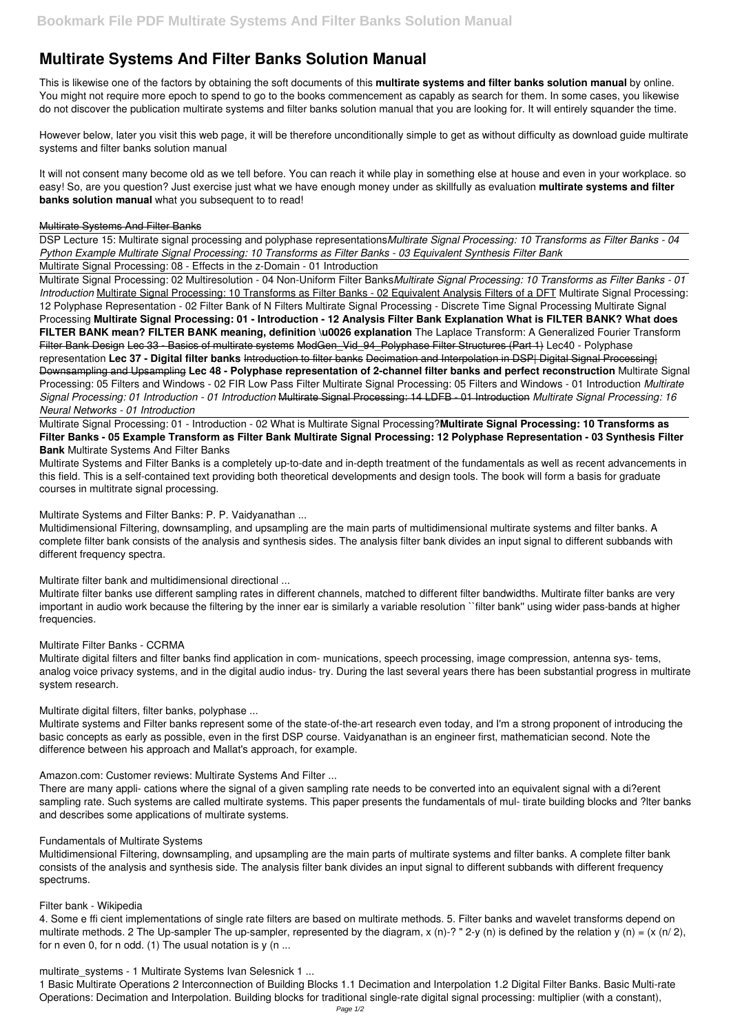# **Multirate Systems And Filter Banks Solution Manual**

This is likewise one of the factors by obtaining the soft documents of this **multirate systems and filter banks solution manual** by online. You might not require more epoch to spend to go to the books commencement as capably as search for them. In some cases, you likewise do not discover the publication multirate systems and filter banks solution manual that you are looking for. It will entirely squander the time.

However below, later you visit this web page, it will be therefore unconditionally simple to get as without difficulty as download guide multirate systems and filter banks solution manual

It will not consent many become old as we tell before. You can reach it while play in something else at house and even in your workplace. so easy! So, are you question? Just exercise just what we have enough money under as skillfully as evaluation **multirate systems and filter banks solution manual** what you subsequent to to read!

#### Multirate Systems And Filter Banks

DSP Lecture 15: Multirate signal processing and polyphase representations*Multirate Signal Processing: 10 Transforms as Filter Banks - 04 Python Example Multirate Signal Processing: 10 Transforms as Filter Banks - 03 Equivalent Synthesis Filter Bank*

Multirate Signal Processing: 08 - Effects in the z-Domain - 01 Introduction

Multidimensional Filtering, downsampling, and upsampling are the main parts of multidimensional multirate systems and filter banks. A complete filter bank consists of the analysis and synthesis sides. The analysis filter bank divides an input signal to different subbands with different frequency spectra.

Multirate Signal Processing: 02 Multiresolution - 04 Non-Uniform Filter Banks*Multirate Signal Processing: 10 Transforms as Filter Banks - 01 Introduction* Multirate Signal Processing: 10 Transforms as Filter Banks - 02 Equivalent Analysis Filters of a DFT Multirate Signal Processing: 12 Polyphase Representation - 02 Filter Bank of N Filters Multirate Signal Processing - Discrete Time Signal Processing Multirate Signal Processing **Multirate Signal Processing: 01 - Introduction - 12 Analysis Filter Bank Explanation What is FILTER BANK? What does FILTER BANK mean? FILTER BANK meaning, definition \u0026 explanation** The Laplace Transform: A Generalized Fourier Transform Filter Bank Design Lec 33 - Basics of multirate systems ModGen Vid 94 Polyphase Filter Structures (Part 1) Lec40 - Polyphase representation **Lec 37 - Digital filter banks** Introduction to filter banks Decimation and Interpolation in DSP| Digital Signal Processing| Downsampling and Upsampling **Lec 48 - Polyphase representation of 2-channel filter banks and perfect reconstruction** Multirate Signal Processing: 05 Filters and Windows - 02 FIR Low Pass Filter Multirate Signal Processing: 05 Filters and Windows - 01 Introduction *Multirate Signal Processing: 01 Introduction - 01 Introduction* Multirate Signal Processing: 14 LDFB - 01 Introduction *Multirate Signal Processing: 16 Neural Networks - 01 Introduction*

4. Some e ffi cient implementations of single rate filters are based on multirate methods. 5. Filter banks and wavelet transforms depend on multirate methods. 2 The Up-sampler The up-sampler, represented by the diagram, x (n)-? " 2-y (n) is defined by the relation y (n) = (x (n/ 2), for n even 0, for n odd.  $(1)$  The usual notation is y  $(n \dots$ 

#### multirate systems - 1 Multirate Systems Ivan Selesnick 1 ...

Multirate Signal Processing: 01 - Introduction - 02 What is Multirate Signal Processing?**Multirate Signal Processing: 10 Transforms as Filter Banks - 05 Example Transform as Filter Bank Multirate Signal Processing: 12 Polyphase Representation - 03 Synthesis Filter Bank** Multirate Systems And Filter Banks

Multirate Systems and Filter Banks is a completely up-to-date and in-depth treatment of the fundamentals as well as recent advancements in this field. This is a self-contained text providing both theoretical developments and design tools. The book will form a basis for graduate courses in multitrate signal processing.

Multirate Systems and Filter Banks: P. P. Vaidyanathan ...

Multirate filter bank and multidimensional directional ...

Multirate filter banks use different sampling rates in different channels, matched to different filter bandwidths. Multirate filter banks are very important in audio work because the filtering by the inner ear is similarly a variable resolution ``filter bank'' using wider pass-bands at higher frequencies.

### Multirate Filter Banks - CCRMA

Multirate digital filters and filter banks find application in com- munications, speech processing, image compression, antenna sys- tems, analog voice privacy systems, and in the digital audio indus- try. During the last several years there has been substantial progress in multirate system research.

Multirate digital filters, filter banks, polyphase ...

Multirate systems and Filter banks represent some of the state-of-the-art research even today, and I'm a strong proponent of introducing the basic concepts as early as possible, even in the first DSP course. Vaidyanathan is an engineer first, mathematician second. Note the difference between his approach and Mallat's approach, for example.

Amazon.com: Customer reviews: Multirate Systems And Filter ...

There are many appli- cations where the signal of a given sampling rate needs to be converted into an equivalent signal with a di?erent sampling rate. Such systems are called multirate systems. This paper presents the fundamentals of mul- tirate building blocks and ?lter banks and describes some applications of multirate systems.

#### Fundamentals of Multirate Systems

Multidimensional Filtering, downsampling, and upsampling are the main parts of multirate systems and filter banks. A complete filter bank consists of the analysis and synthesis side. The analysis filter bank divides an input signal to different subbands with different frequency spectrums.

#### Filter bank - Wikipedia

1 Basic Multirate Operations 2 Interconnection of Building Blocks 1.1 Decimation and Interpolation 1.2 Digital Filter Banks. Basic Multi-rate Operations: Decimation and Interpolation. Building blocks for traditional single-rate digital signal processing: multiplier (with a constant),